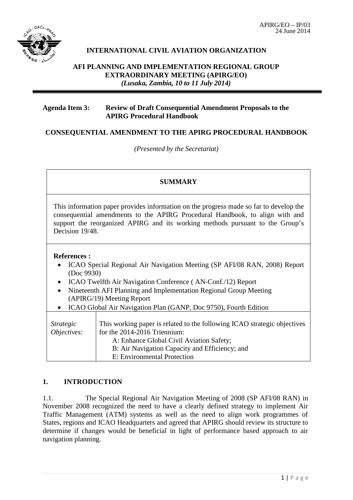

# **INTERNATIONAL CIVIL AVIATION ORGANIZATION**

## **AFI PLANNING AND IMPLEMENTATION REGIONAL GROUP EXTRAORDINARY MEETING (APIRG/EO)** *(Lusaka, Zambia, 10 to 11 July 2014)*

### **Agenda Item 3: Review of Draft Consequential Amendment Proposals to the APIRG Procedural Handbook**

## **CONSEQUENTIAL AMENDMENT TO THE APIRG PROCEDURAL HANDBOOK**

*(Presented by the Secretariat)*

#### **SUMMARY**

This information paper provides information on the progress made so far to develop the consequential amendments to the APIRG Procedural Handbook, to align with and support the reorganized APIRG and its working methods pursuant to the Group's Decision 19/48.

#### **References :**

- ICAO Special Regional Air Navigation Meeting (SP AFI/08 RAN, 2008) Report (Doc 9930)
- ICAO Twelfth Air Navigation Conference ( AN-Conf./12) Report
- Nineteenth AFI Planning and Implementation Regional Group Meeting (APIRG/19) Meeting Report

|  |  |  |  |  |  | ICAO Global Air Navigation Plan (GANP, Doc 9750), Fourth Edition |  |  |  |  |
|--|--|--|--|--|--|------------------------------------------------------------------|--|--|--|--|
|--|--|--|--|--|--|------------------------------------------------------------------|--|--|--|--|

| <i>Strategic</i><br>Objectives: | This working paper is related to the following ICAO strategic objectives<br>for the 2014-2016 Triennium:<br>A: Enhance Global Civil Aviation Safety; |
|---------------------------------|------------------------------------------------------------------------------------------------------------------------------------------------------|
|                                 | B: Air Navigation Capacity and Efficiency; and<br>E: Environmental Protection                                                                        |

## **1. INTRODUCTION**

1.1. The Special Regional Air Navigation Meeting of 2008 (SP AFI/08 RAN) in November 2008 recognized the need to have a clearly defined strategy to implement Air Traffic Management (ATM) systems as well as the need to align work programmes of States, regions and ICAO Headquarters and agreed that APIRG should review its structure to determine if changes would be beneficial in light of performance based approach to air navigation planning.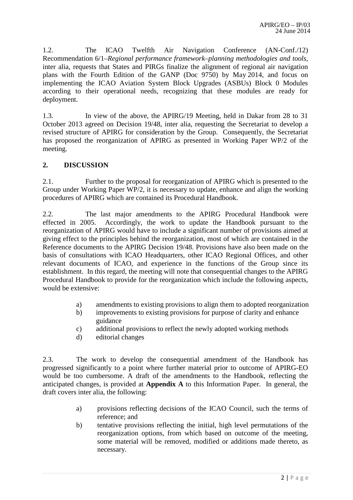1.2. The ICAO Twelfth Air Navigation Conference (AN-Conf./12) Recommendation 6/1–*Regional performance framework–planning methodologies and tools*, inter alia, requests that States and PIRGs finalize the alignment of regional air navigation plans with the Fourth Edition of the GANP (Doc 9750) by May 2014, and focus on implementing the ICAO Aviation System Block Upgrades (ASBUs) Block 0 Modules according to their operational needs, recognizing that these modules are ready for deployment.

1.3. In view of the above, the APIRG/19 Meeting, held in Dakar from 28 to 31 October 2013 agreed on Decision 19/48, inter alia, requesting the Secretariat to develop a revised structure of APIRG for consideration by the Group. Consequently, the Secretariat has proposed the reorganization of APIRG as presented in Working Paper WP/2 of the meeting.

## **2. DISCUSSION**

2.1. Further to the proposal for reorganization of APIRG which is presented to the Group under Working Paper WP/2, it is necessary to update, enhance and align the working procedures of APIRG which are contained its Procedural Handbook.

2.2. The last major amendments to the APIRG Procedural Handbook were effected in 2005. Accordingly, the work to update the Handbook pursuant to the reorganization of APIRG would have to include a significant number of provisions aimed at giving effect to the principles behind the reorganization, most of which are contained in the Reference documents to the APIRG Decision 19/48. Provisions have also been made on the basis of consultations with ICAO Headquarters, other ICAO Regional Offices, and other relevant documents of ICAO, and experience in the functions of the Group since its establishment. In this regard, the meeting will note that consequential changes to the APIRG Procedural Handbook to provide for the reorganization which include the following aspects, would be extensive:

- a) amendments to existing provisions to align them to adopted reorganization
- b) improvements to existing provisions for purpose of clarity and enhance guidance
- c) additional provisions to reflect the newly adopted working methods
- d) editorial changes

2.3. The work to develop the consequential amendment of the Handbook has progressed significantly to a point where further material prior to outcome of APIRG-EO would be too cumbersome. A draft of the amendments to the Handbook, reflecting the anticipated changes, is provided at **Appendix A** to this Information Paper. In general, the draft covers inter alia, the following:

- a) provisions reflecting decisions of the ICAO Council, such the terms of reference; and
- b) tentative provisions reflecting the initial, high level permutations of the reorganization options, from which based on outcome of the meeting, some material will be removed, modified or additions made thereto, as necessary.